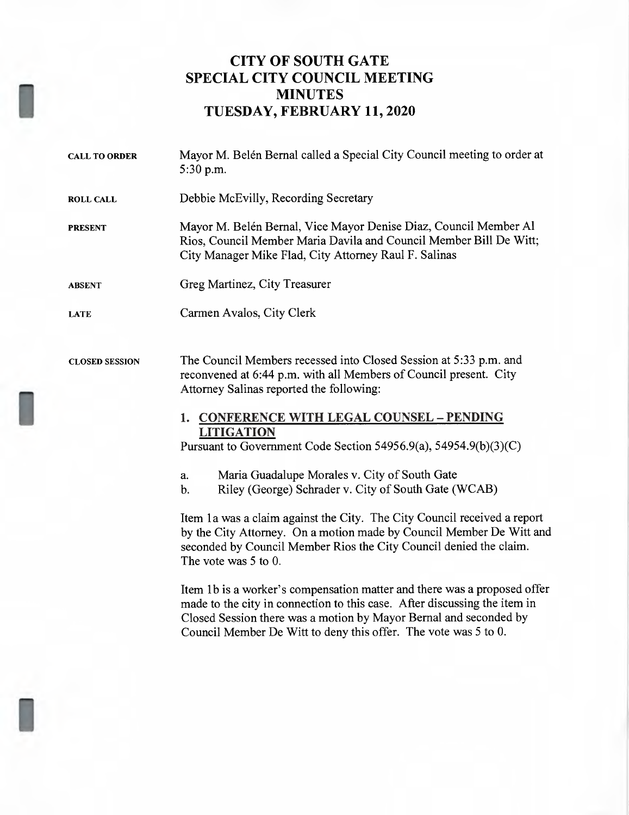## CITY OF SOUTH GATE SPECIAL CITY COUNCIL MEETING MINUTES TUESDAY, FEBRUARY 11, 2020

- CALL TO ORDER ROLL CALL PRESENT ABSENT LATE CLOSED SESSION Mayor M. Belén Bernal called <sup>a</sup> Special City Council meeting to order at 5:30 pm. Debbie McEvilly, Recording Secretary Mayor M. Belén Bernal, Vice Mayor Denise Diaz, Council Member Al Rios, Council Member Maria Davila and Council Member Bill De Witt; City Manager Mike Flad, City Attorney Raul F. Salinas Greg Martinez, City Treasurer Carmen Avalos, City Clerk The Council Members recessed into Closed Session at 5:33 p.m. and reconvened at 6:44 p.m. with all Members of Council present. City Attorney Salinas reported the following: 1. CONFERENCE WITH LEGAL COUNSEL — PENDING LITIGATION Pursuant to Government Code Section 54956.9(a), 54954.9(b)(3)(C)
	- a. Maria Guadalupe Morales v. City of South Gate
	- b. Riley (George) Schrader v. City of South Gate (WCAB)

Item la was <sup>a</sup> claim against the City. The City Council received <sup>a</sup> report by the City Attorney. On <sup>a</sup> motion made by Council Member De Witt and seconded by Council Member Rios the City Council denied the claim. The vote was 5 to 0.

Item 1b is <sup>a</sup> worker's compensation matter and there was <sup>a</sup> proposed offer made to the city in connection to this case. After discussing the item in Closed Session there was <sup>a</sup> motion by Mayor Bemal and seconded by Council Member De Witt to deny this offer. The vote was 5 to 0.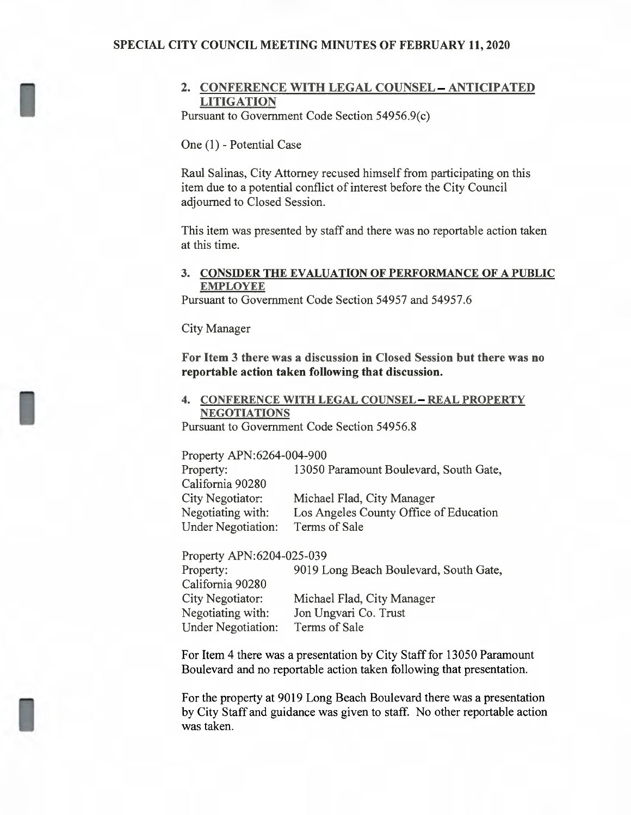#### SPECIAL CITY COUNCIL MEETING MINUTES OF FEBRUARY 11, 2020

#### 2. CONFERENCE WITH LEGAL COUNSEL — ANTICIPATED **LITIGATION**

Pursuant to Government Code Section 54956.9(c)

One (1) — Potential Case

Raul Salinas, City Attorney recused himself from participating on this item due to a potential conflict of interest before the City Council adjourned to Closed Session.

This item was presented by staff and there was no reportable action taken at this time.

#### 3. CONSIDER THE EVALUATION OF PERFORMANCE OF A PUBLIC EMPLOYEE

Pursuant to Government Code Section 54957 and 54957.6

City Manager

For Item 3 there was a discussion in Closed Session but there was no reportable action taken following that discussion. **Item 3 there was<br>ortable action tal<br>CONFERENCE V<br>NEGOTIATIONS**<br>suant to Governme

# 4. CONFERENCE WITH LEGAL COUNSEL — REAL PROPERTY

Pursuant to Government Code Section 54956.8

Property APN:6264-004-900

| 13050 Paramount Boulevard, South Gate, |
|----------------------------------------|
|                                        |
| Michael Flad, City Manager             |
| Los Angeles County Office of Education |
| Terms of Sale                          |
|                                        |

Property APN:6204-025-039

| Property:                 | 9019 Long Beach Boulevard, South Gate, |
|---------------------------|----------------------------------------|
| California 90280          |                                        |
| City Negotiator:          | Michael Flad, City Manager             |
| Negotiating with:         | Jon Ungvari Co. Trust                  |
| <b>Under Negotiation:</b> | Terms of Sale                          |

For Item 4 there was a presentation by City Staff for 13050 Paramount Boulevard and no reportable action taken following that presentation.

For the property at 9019 Long Beach Boulevard there was a presentation by City Staff and guidance was given to staff. No other reportable action was taken.